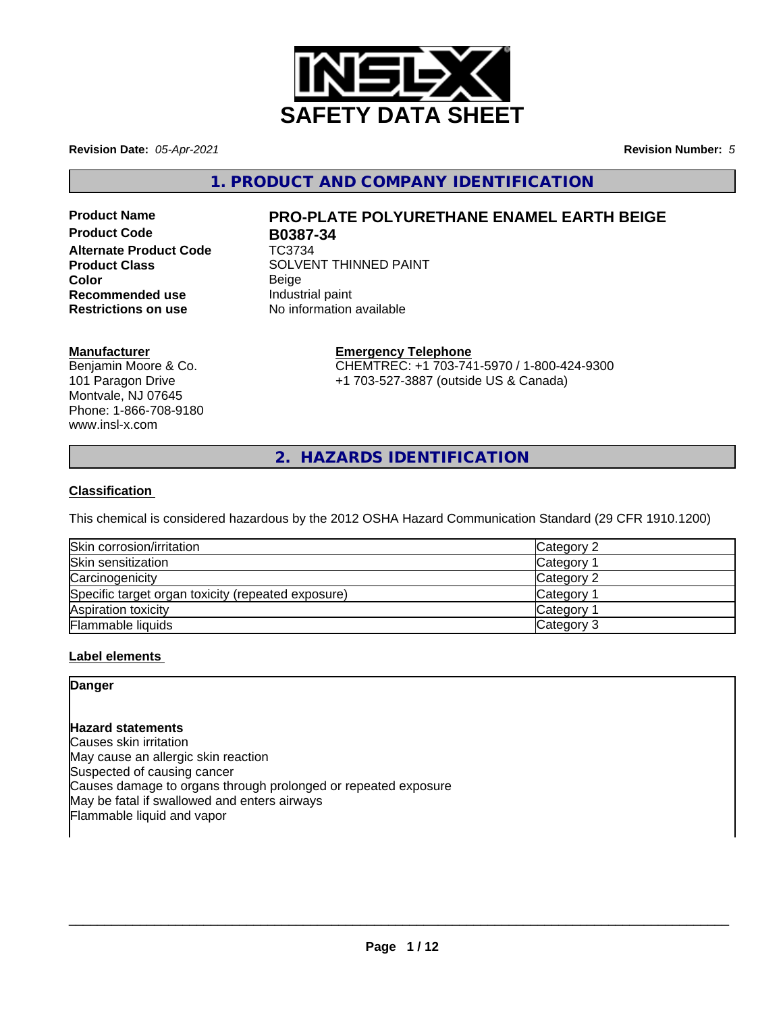

**Revision Date:** *05-Apr-2021* **Revision Number:** *5*

**1. PRODUCT AND COMPANY IDENTIFICATION**

**Product Code B0387-34 Alternate Product Code** TC3734 **Recommended use Industrial paint**<br> **Restrictions on use No information** 

**Manufacturer** Benjamin Moore & Co. 101 Paragon Drive Montvale, NJ 07645 Phone: 1-866-708-9180 www.insl-x.com

# **Product Name PRO-PLATE POLYURETHANE ENAMEL EARTH BEIGE**

**Product Class** SOLVENT THINNED PAINT **Color** Beige **No information available** 

#### **Emergency Telephone**

CHEMTREC: +1 703-741-5970 / 1-800-424-9300 +1 703-527-3887 (outside US & Canada)

**2. HAZARDS IDENTIFICATION**

#### **Classification**

This chemical is considered hazardous by the 2012 OSHA Hazard Communication Standard (29 CFR 1910.1200)

| Skin corrosion/irritation                          | Category 2            |
|----------------------------------------------------|-----------------------|
| Skin sensitization                                 | Category              |
| Carcinogenicity                                    | Category 2            |
| Specific target organ toxicity (repeated exposure) | Category <sup>2</sup> |
| Aspiration toxicity                                | Category              |
| Flammable liquids                                  | Category 3            |

#### **Label elements**

#### **Danger**

#### **Hazard statements**

Causes skin irritation May cause an allergic skin reaction Suspected of causing cancer Causes damage to organs through prolonged or repeated exposure May be fatal if swallowed and enters airways Flammable liquid and vapor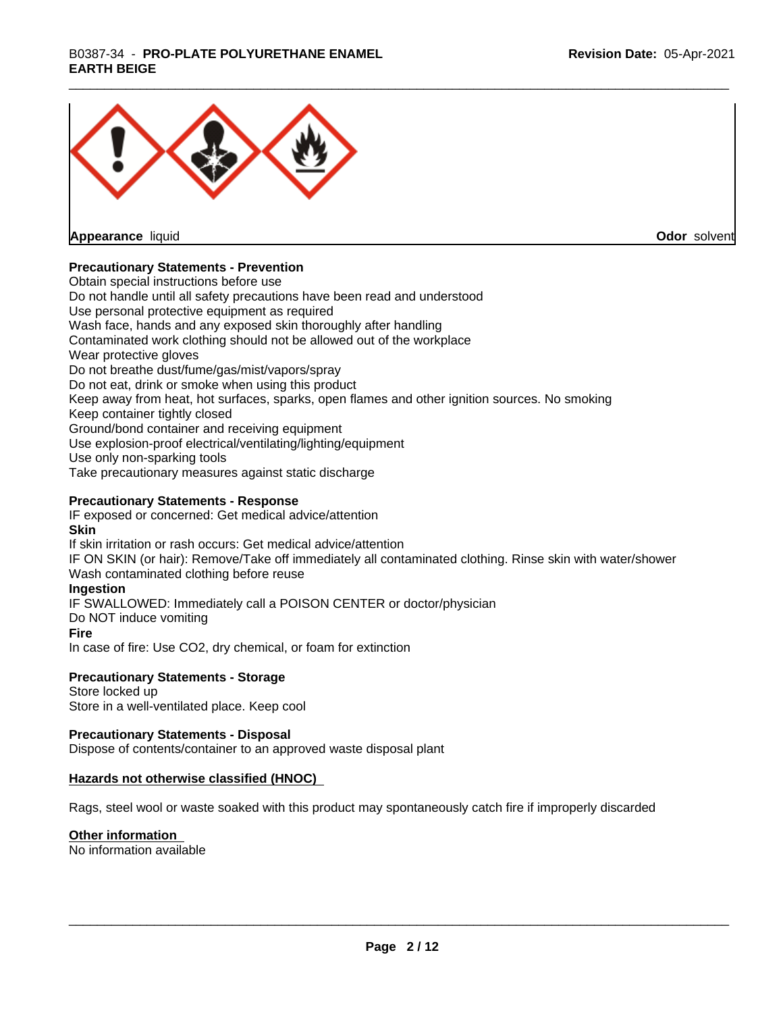## \_\_\_\_\_\_\_\_\_\_\_\_\_\_\_\_\_\_\_\_\_\_\_\_\_\_\_\_\_\_\_\_\_\_\_\_\_\_\_\_\_\_\_\_\_\_\_\_\_\_\_\_\_\_\_\_\_\_\_\_\_\_\_\_\_\_\_\_\_\_\_\_\_\_\_\_\_\_\_\_\_\_\_\_\_\_\_\_\_\_\_\_\_ B0387-34 - **PRO-PLATE POLYURETHANE ENAMEL EARTH BEIGE**



**Appearance** liquid

**Odor** solvent

#### **Precautionary Statements - Prevention**

Obtain special instructions before use Do not handle until all safety precautions have been read and understood Use personal protective equipment as required Wash face, hands and any exposed skin thoroughly after handling Contaminated work clothing should not be allowed out of the workplace Wear protective gloves Do not breathe dust/fume/gas/mist/vapors/spray Do not eat, drink or smoke when using this product Keep away from heat, hot surfaces, sparks, open flames and other ignition sources. No smoking Keep container tightly closed Ground/bond container and receiving equipment Use explosion-proof electrical/ventilating/lighting/equipment Use only non-sparking tools Take precautionary measures against static discharge

#### **Precautionary Statements - Response**

IF exposed or concerned: Get medical advice/attention **Skin** If skin irritation or rash occurs: Get medical advice/attention

IF ON SKIN (or hair): Remove/Take off immediately all contaminated clothing. Rinse skin with water/shower Wash contaminated clothing before reuse

#### **Ingestion**

IF SWALLOWED: Immediately call a POISON CENTER or doctor/physician

Do NOT induce vomiting

#### **Fire**

In case of fire: Use CO2, dry chemical, or foam for extinction

#### **Precautionary Statements - Storage**

Store locked up Store in a well-ventilated place. Keep cool

#### **Precautionary Statements - Disposal**

Dispose of contents/container to an approved waste disposal plant

#### **Hazards not otherwise classified (HNOC)**

Rags, steel wool or waste soaked with this product may spontaneously catch fire if improperly discarded

#### **Other information**

No information available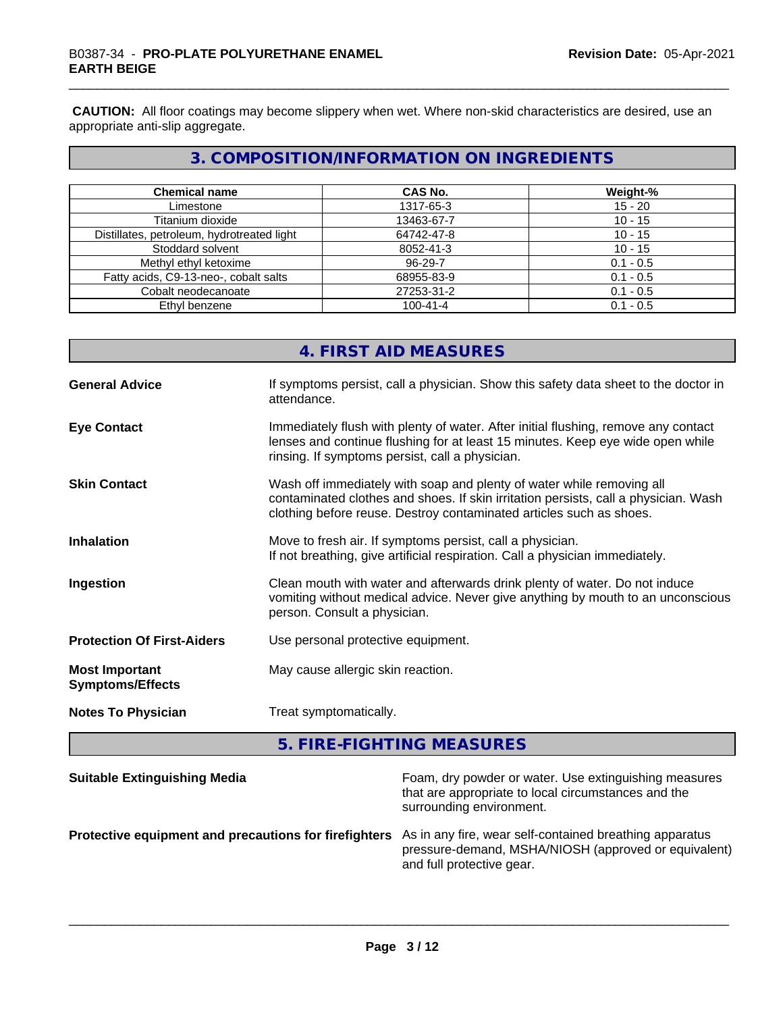**CAUTION:** All floor coatings may become slippery when wet. Where non-skid characteristics are desired, use an appropriate anti-slip aggregate.

## **3. COMPOSITION/INFORMATION ON INGREDIENTS**

| <b>Chemical name</b>                       | <b>CAS No.</b> | Weight-%    |
|--------------------------------------------|----------------|-------------|
| Limestone                                  | 1317-65-3      | $15 - 20$   |
| Titanium dioxide                           | 13463-67-7     | $10 - 15$   |
| Distillates, petroleum, hydrotreated light | 64742-47-8     | $10 - 15$   |
| Stoddard solvent                           | 8052-41-3      | $10 - 15$   |
| Methyl ethyl ketoxime                      | $96 - 29 - 7$  | $0.1 - 0.5$ |
| Fatty acids, C9-13-neo-, cobalt salts      | 68955-83-9     | $0.1 - 0.5$ |
| Cobalt neodecanoate                        | 27253-31-2     | $0.1 - 0.5$ |
| Ethyl benzene                              | $100 - 41 - 4$ | $0.1 - 0.5$ |

## **4. FIRST AID MEASURES**

| <b>General Advice</b>                            | If symptoms persist, call a physician. Show this safety data sheet to the doctor in<br>attendance.                                                                                                                                  |
|--------------------------------------------------|-------------------------------------------------------------------------------------------------------------------------------------------------------------------------------------------------------------------------------------|
| <b>Eye Contact</b>                               | Immediately flush with plenty of water. After initial flushing, remove any contact<br>lenses and continue flushing for at least 15 minutes. Keep eye wide open while<br>rinsing. If symptoms persist, call a physician.             |
| <b>Skin Contact</b>                              | Wash off immediately with soap and plenty of water while removing all<br>contaminated clothes and shoes. If skin irritation persists, call a physician. Wash<br>clothing before reuse. Destroy contaminated articles such as shoes. |
| <b>Inhalation</b>                                | Move to fresh air. If symptoms persist, call a physician.<br>If not breathing, give artificial respiration. Call a physician immediately.                                                                                           |
| Ingestion                                        | Clean mouth with water and afterwards drink plenty of water. Do not induce<br>vomiting without medical advice. Never give anything by mouth to an unconscious<br>person. Consult a physician.                                       |
| <b>Protection Of First-Aiders</b>                | Use personal protective equipment.                                                                                                                                                                                                  |
| <b>Most Important</b><br><b>Symptoms/Effects</b> | May cause allergic skin reaction.                                                                                                                                                                                                   |
| <b>Notes To Physician</b>                        | Treat symptomatically.                                                                                                                                                                                                              |

**5. FIRE-FIGHTING MEASURES**

| <b>Suitable Extinguishing Media</b>                                                                           | Foam, dry powder or water. Use extinguishing measures<br>that are appropriate to local circumstances and the<br>surrounding environment. |
|---------------------------------------------------------------------------------------------------------------|------------------------------------------------------------------------------------------------------------------------------------------|
| Protective equipment and precautions for firefighters As in any fire, wear self-contained breathing apparatus | pressure-demand, MSHA/NIOSH (approved or equivalent)<br>and full protective gear.                                                        |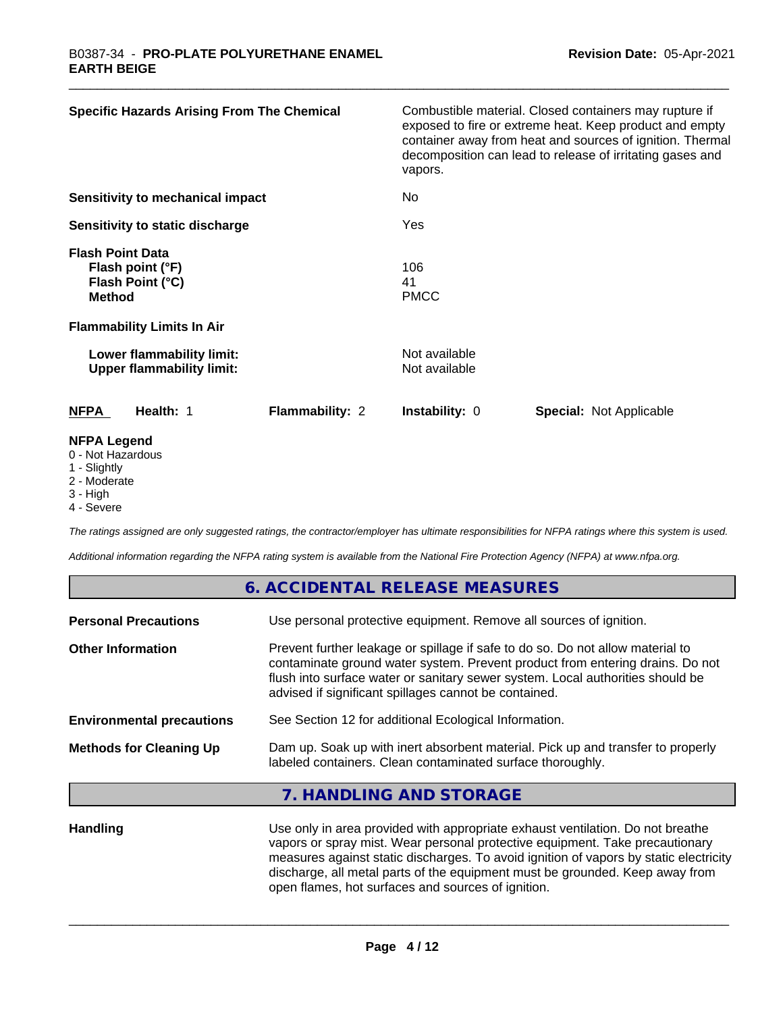| <b>Specific Hazards Arising From The Chemical</b>                                | Combustible material. Closed containers may rupture if<br>exposed to fire or extreme heat. Keep product and empty<br>container away from heat and sources of ignition. Thermal<br>decomposition can lead to release of irritating gases and<br>vapors. |
|----------------------------------------------------------------------------------|--------------------------------------------------------------------------------------------------------------------------------------------------------------------------------------------------------------------------------------------------------|
| <b>Sensitivity to mechanical impact</b>                                          | No                                                                                                                                                                                                                                                     |
| Sensitivity to static discharge                                                  | Yes                                                                                                                                                                                                                                                    |
| <b>Flash Point Data</b><br>Flash point (°F)<br>Flash Point (°C)<br><b>Method</b> | 106<br>41<br><b>PMCC</b>                                                                                                                                                                                                                               |
| <b>Flammability Limits In Air</b>                                                |                                                                                                                                                                                                                                                        |
| Lower flammability limit:<br><b>Upper flammability limit:</b>                    | Not available<br>Not available                                                                                                                                                                                                                         |
| <b>NFPA</b><br>Health: 1<br><b>Flammability: 2</b>                               | <b>Instability: 0</b><br><b>Special: Not Applicable</b>                                                                                                                                                                                                |
| <b>NFPA Legend</b><br>0 - Not Hazardous<br>$\overline{A}$ Clientales             |                                                                                                                                                                                                                                                        |

- 1 Slightly
- 2 Moderate
- 3 High
- 4 Severe

*The ratings assigned are only suggested ratings, the contractor/employer has ultimate responsibilities for NFPA ratings where this system is used.*

*Additional information regarding the NFPA rating system is available from the National Fire Protection Agency (NFPA) at www.nfpa.org.*

|                                  | 6. ACCIDENTAL RELEASE MEASURES                                                                                                                                                                                                                                                                             |
|----------------------------------|------------------------------------------------------------------------------------------------------------------------------------------------------------------------------------------------------------------------------------------------------------------------------------------------------------|
| <b>Personal Precautions</b>      | Use personal protective equipment. Remove all sources of ignition.                                                                                                                                                                                                                                         |
| <b>Other Information</b>         | Prevent further leakage or spillage if safe to do so. Do not allow material to<br>contaminate ground water system. Prevent product from entering drains. Do not<br>flush into surface water or sanitary sewer system. Local authorities should be<br>advised if significant spillages cannot be contained. |
| <b>Environmental precautions</b> | See Section 12 for additional Ecological Information.                                                                                                                                                                                                                                                      |
| <b>Methods for Cleaning Up</b>   | Dam up. Soak up with inert absorbent material. Pick up and transfer to properly<br>labeled containers. Clean contaminated surface thoroughly.                                                                                                                                                              |
|                                  | 7. HANDLING AND STORAGE                                                                                                                                                                                                                                                                                    |
|                                  |                                                                                                                                                                                                                                                                                                            |

Handling **Handling** Use only in area provided with appropriate exhaust ventilation. Do not breathe vapors or spray mist. Wear personal protective equipment. Take precautionary measures against static discharges. To avoid ignition of vapors by static electricity discharge, all metal parts of the equipment must be grounded. Keep away from open flames, hot surfaces and sources of ignition.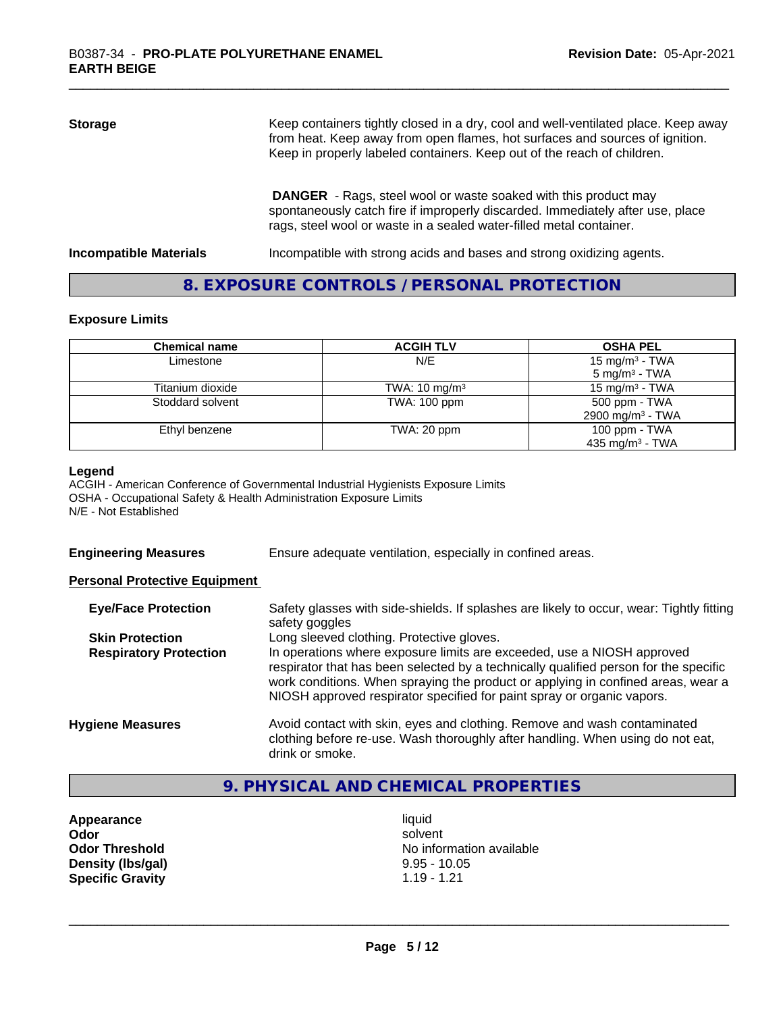| <b>Storage</b> | Keep containers tightly closed in a dry, cool and well-ventilated place. Keep away<br>from heat. Keep away from open flames, hot surfaces and sources of ignition.<br>Keep in properly labeled containers. Keep out of the reach of children. |
|----------------|-----------------------------------------------------------------------------------------------------------------------------------------------------------------------------------------------------------------------------------------------|
|                | <b>DANGER</b> - Rags, steel wool or waste soaked with this product may<br>spontaneously catch fire if improperly discarded. Immediately after use, place<br>rags, steel wool or waste in a sealed water-filled metal container.               |

**Incompatible Materials Incompatible with strong acids and bases and strong oxidizing agents.** 

#### **8. EXPOSURE CONTROLS / PERSONAL PROTECTION**

#### **Exposure Limits**

| <b>Chemical name</b> | <b>ACGIH TLV</b>         | <b>OSHA PEL</b>              |
|----------------------|--------------------------|------------------------------|
| Limestone            | N/E                      | 15 mg/m <sup>3</sup> - TWA   |
|                      |                          | $5 \text{ mg/m}^3$ - TWA     |
| Titanium dioxide     | TWA: $10 \text{ mg/m}^3$ | 15 mg/m $3$ - TWA            |
| Stoddard solvent     | TWA: 100 ppm             | 500 ppm - TWA                |
|                      |                          | 2900 mg/m <sup>3</sup> - TWA |
| Ethyl benzene        | TWA: 20 ppm              | 100 ppm - $TWA$              |
|                      |                          | 435 mg/m <sup>3</sup> - TWA  |

#### **Legend**

ACGIH - American Conference of Governmental Industrial Hygienists Exposure Limits OSHA - Occupational Safety & Health Administration Exposure Limits N/E - Not Established

**Engineering Measures** Ensure adequate ventilation, especially in confined areas.

#### **Personal Protective Equipment**

| <b>Eye/Face Protection</b>    | Safety glasses with side-shields. If splashes are likely to occur, wear: Tightly fitting<br>safety goggles                                                                                                                                                                                                                   |
|-------------------------------|------------------------------------------------------------------------------------------------------------------------------------------------------------------------------------------------------------------------------------------------------------------------------------------------------------------------------|
| <b>Skin Protection</b>        | Long sleeved clothing. Protective gloves.                                                                                                                                                                                                                                                                                    |
| <b>Respiratory Protection</b> | In operations where exposure limits are exceeded, use a NIOSH approved<br>respirator that has been selected by a technically qualified person for the specific<br>work conditions. When spraying the product or applying in confined areas, wear a<br>NIOSH approved respirator specified for paint spray or organic vapors. |
| <b>Hygiene Measures</b>       | Avoid contact with skin, eyes and clothing. Remove and wash contaminated<br>clothing before re-use. Wash thoroughly after handling. When using do not eat,<br>drink or smoke.                                                                                                                                                |

## **9. PHYSICAL AND CHEMICAL PROPERTIES**

**Appearance** liquid **Density (lbs/gal)** 9.95 - 10.05 **Specific Gravity** 1.19 - 1.21

**Odor** solvent **Odor Threshold** No information available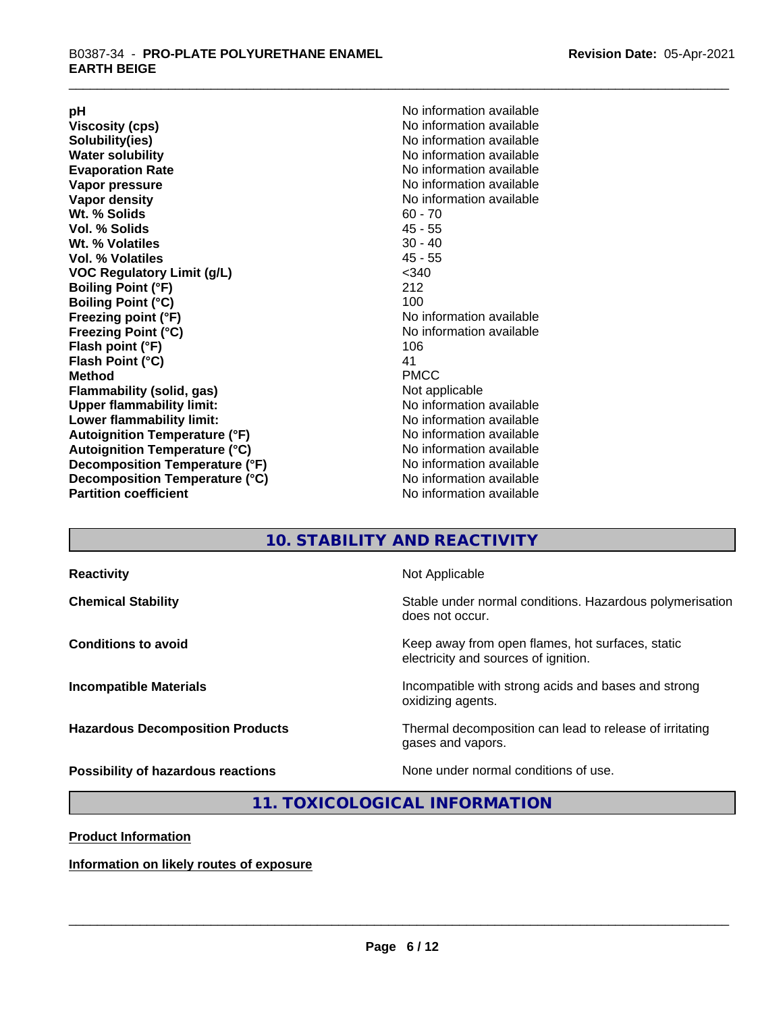**Viscosity (cps)** <br> **Viscosity (cps)** No information available<br>
No information available<br>
No information available **Water solubility**<br> **Evaporation Rate**<br> **Evaporation Rate**<br> **Evaporation Rate Vapor pressure** No information available **Vapor density No information available No information available Wt. % Solids** 60 - 70<br> **Vol. % Solids** 60 - 70<br> **Vol. % Solids** 65 **Vol. % Solids Wt.** % Volatiles 30 - 40 **Vol. % Volatiles** 45 - 55 **VOC Regulatory Limit (g/L)** <340 **Boiling Point (°F)** 212 **Boiling Point (°C)**<br>Freezing point (°F) **Freezing Point (°C)** No information available **Flash point (°F)** 106 **Flash Point (°C)** 41 **Method** PMCC **Flammability (solid, gas)** Not applicable **Upper flammability limit:** No information available **Lower flammability limit:** No information available **Autoignition Temperature (°F)** No information available **Autoignition Temperature (°C)** No information available **Decomposition Temperature (°F)**<br> **Decomposition Temperature (°C)** No information available<br>
No information available **Decomposition Temperature (°C)**<br>Partition coefficient

**pH**<br>
Viscosity (cps) The Contract of the Contract of No information available<br>
No information available **Solubility(ies)** No information available **Evaporation Rate** No information available **No information available No information available** 

## **10. STABILITY AND REACTIVITY**

| <b>Reactivity</b>                         | Not Applicable                                                                           |
|-------------------------------------------|------------------------------------------------------------------------------------------|
| <b>Chemical Stability</b>                 | Stable under normal conditions. Hazardous polymerisation<br>does not occur.              |
| <b>Conditions to avoid</b>                | Keep away from open flames, hot surfaces, static<br>electricity and sources of ignition. |
| <b>Incompatible Materials</b>             | Incompatible with strong acids and bases and strong<br>oxidizing agents.                 |
| <b>Hazardous Decomposition Products</b>   | Thermal decomposition can lead to release of irritating<br>gases and vapors.             |
| <b>Possibility of hazardous reactions</b> | None under normal conditions of use.                                                     |

### **11. TOXICOLOGICAL INFORMATION**

**Product Information**

**Information on likely routes of exposure**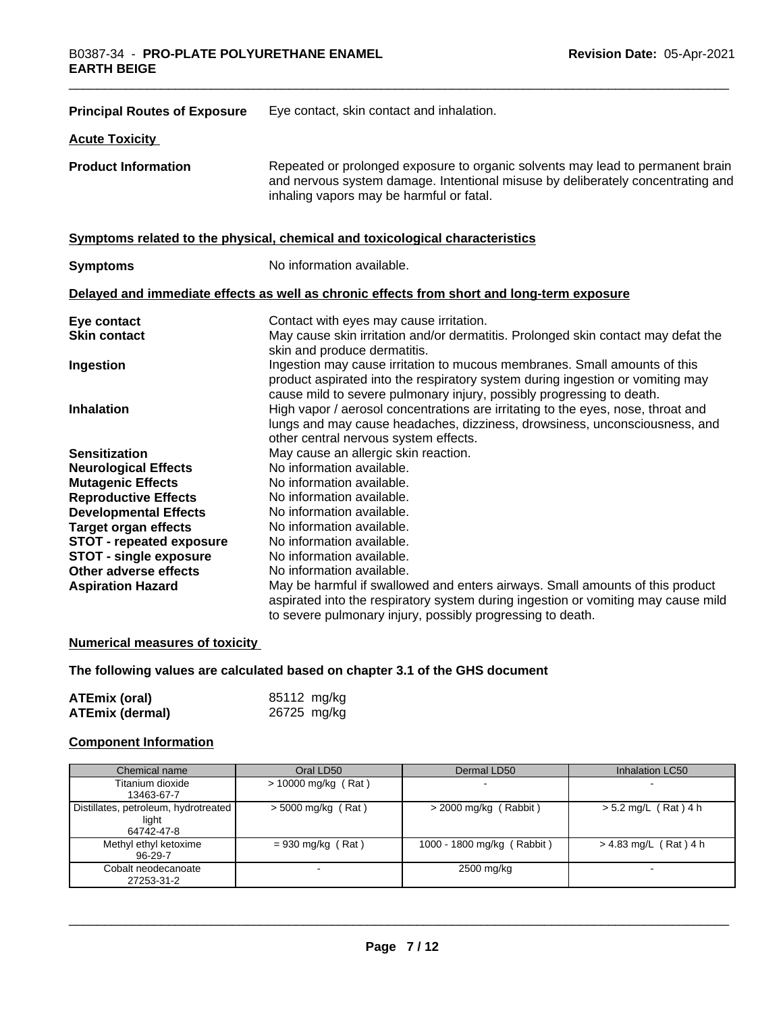| <b>Principal Routes of Exposure</b> | Eye contact, skin contact and inhalation.                                                                                                                                                                                            |
|-------------------------------------|--------------------------------------------------------------------------------------------------------------------------------------------------------------------------------------------------------------------------------------|
| <b>Acute Toxicity</b>               |                                                                                                                                                                                                                                      |
| <b>Product Information</b>          | Repeated or prolonged exposure to organic solvents may lead to permanent brain<br>and nervous system damage. Intentional misuse by deliberately concentrating and<br>inhaling vapors may be harmful or fatal.                        |
|                                     | Symptoms related to the physical, chemical and toxicological characteristics                                                                                                                                                         |
| <b>Symptoms</b>                     | No information available.                                                                                                                                                                                                            |
|                                     | Delayed and immediate effects as well as chronic effects from short and long-term exposure                                                                                                                                           |
| Eye contact<br><b>Skin contact</b>  | Contact with eyes may cause irritation.<br>May cause skin irritation and/or dermatitis. Prolonged skin contact may defat the<br>skin and produce dermatitis.                                                                         |
| Ingestion                           | Ingestion may cause irritation to mucous membranes. Small amounts of this<br>product aspirated into the respiratory system during ingestion or vomiting may<br>cause mild to severe pulmonary injury, possibly progressing to death. |
| <b>Inhalation</b>                   | High vapor / aerosol concentrations are irritating to the eyes, nose, throat and<br>lungs and may cause headaches, dizziness, drowsiness, unconsciousness, and<br>other central nervous system effects.                              |
| <b>Sensitization</b>                | May cause an allergic skin reaction.                                                                                                                                                                                                 |
| <b>Neurological Effects</b>         | No information available.                                                                                                                                                                                                            |
| <b>Mutagenic Effects</b>            | No information available.                                                                                                                                                                                                            |
| <b>Reproductive Effects</b>         | No information available.                                                                                                                                                                                                            |
| <b>Developmental Effects</b>        | No information available.                                                                                                                                                                                                            |
| <b>Target organ effects</b>         | No information available.                                                                                                                                                                                                            |
| <b>STOT - repeated exposure</b>     | No information available.                                                                                                                                                                                                            |
| <b>STOT - single exposure</b>       | No information available.                                                                                                                                                                                                            |
| Other adverse effects               | No information available.                                                                                                                                                                                                            |
| <b>Aspiration Hazard</b>            | May be harmful if swallowed and enters airways. Small amounts of this product<br>aspirated into the respiratory system during ingestion or vomiting may cause mild<br>to severe pulmonary injury, possibly progressing to death.     |

#### **Numerical measures of toxicity**

### **The following values are calculated based on chapter 3.1 of the GHS document**

| <b>ATEmix (oral)</b>   | 85112 mg/kg |
|------------------------|-------------|
| <b>ATEmix (dermal)</b> | 26725 mg/kg |

### **Component Information**

| Chemical name                                               | Oral LD50             | Dermal LD50                | Inhalation LC50         |
|-------------------------------------------------------------|-----------------------|----------------------------|-------------------------|
| Titanium dioxide<br>13463-67-7                              | $> 10000$ mg/kg (Rat) |                            |                         |
| Distillates, petroleum, hydrotreated<br>light<br>64742-47-8 | $>$ 5000 mg/kg (Rat)  | $>$ 2000 mg/kg (Rabbit)    | $> 5.2$ mg/L (Rat) 4 h  |
| Methyl ethyl ketoxime<br>96-29-7                            | $= 930$ mg/kg (Rat)   | 1000 - 1800 mg/kg (Rabbit) | $> 4.83$ mg/L (Rat) 4 h |
| Cobalt neodecanoate<br>27253-31-2                           |                       | 2500 mg/kg                 |                         |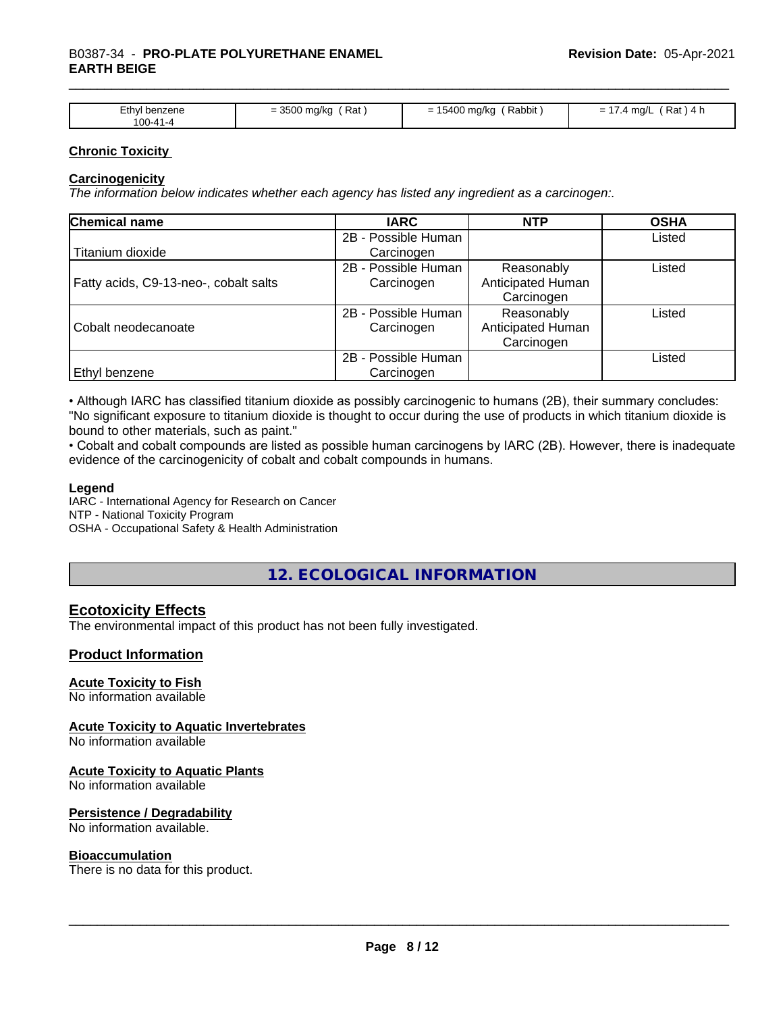| Ethyl benzene<br>100-41-4 | 0.500<br>Rat<br>⊧ma/kc<br>- SSUU | Rabbit<br>5400.<br>J0 ma/ka<br>$\overline{\phantom{0}}$<br>- | Rat<br>ma/L<br>-<br>-<br>. . |
|---------------------------|----------------------------------|--------------------------------------------------------------|------------------------------|

#### **Chronic Toxicity**

#### **Carcinogenicity**

*The information below indicateswhether each agency has listed any ingredient as a carcinogen:.*

| Chemical name                         | <b>IARC</b>         | <b>NTP</b>        | <b>OSHA</b> |
|---------------------------------------|---------------------|-------------------|-------------|
|                                       | 2B - Possible Human |                   | Listed      |
| Titanium dioxide                      | Carcinogen          |                   |             |
|                                       | 2B - Possible Human | Reasonably        | Listed      |
| Fatty acids, C9-13-neo-, cobalt salts | Carcinogen          | Anticipated Human |             |
|                                       |                     | Carcinogen        |             |
|                                       | 2B - Possible Human | Reasonably        | Listed      |
| Cobalt neodecanoate                   | Carcinogen          | Anticipated Human |             |
|                                       |                     | Carcinogen        |             |
|                                       | 2B - Possible Human |                   | Listed      |
| <b>Ethyl benzene</b>                  | Carcinogen          |                   |             |

• Although IARC has classified titanium dioxide as possibly carcinogenic to humans (2B), their summary concludes: "No significant exposure to titanium dioxide is thought to occur during the use of products in which titanium dioxide is bound to other materials, such as paint."

• Cobalt and cobalt compounds are listed as possible human carcinogens by IARC (2B). However, there is inadequate evidence of the carcinogenicity of cobalt and cobalt compounds in humans.

#### **Legend**

IARC - International Agency for Research on Cancer NTP - National Toxicity Program OSHA - Occupational Safety & Health Administration

## **12. ECOLOGICAL INFORMATION**

### **Ecotoxicity Effects**

The environmental impact of this product has not been fully investigated.

#### **Product Information**

#### **Acute Toxicity to Fish**

No information available

#### **Acute Toxicity to Aquatic Invertebrates**

No information available

#### **Acute Toxicity to Aquatic Plants**

No information available

#### **Persistence / Degradability**

No information available.

#### **Bioaccumulation**

There is no data for this product.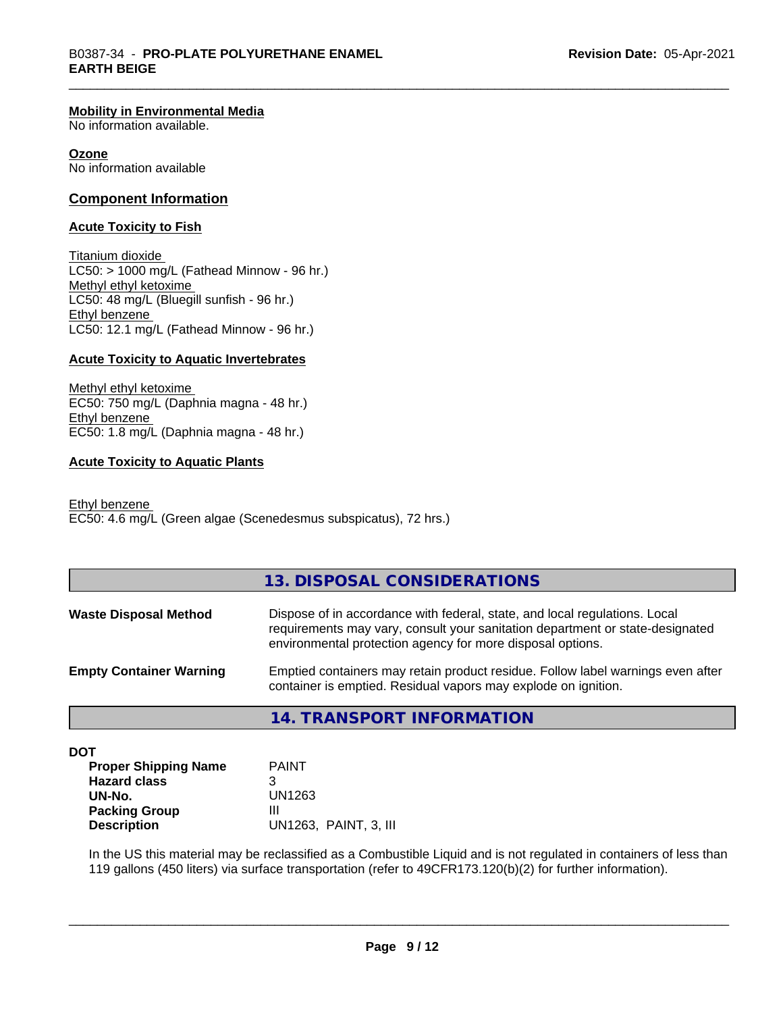#### **Mobility in Environmental Media**

No information available.

#### **Ozone**

No information available

#### **Component Information**

#### **Acute Toxicity to Fish**

Titanium dioxide  $LC50:$  > 1000 mg/L (Fathead Minnow - 96 hr.) Methyl ethyl ketoxime LC50: 48 mg/L (Bluegill sunfish - 96 hr.) Ethyl benzene LC50: 12.1 mg/L (Fathead Minnow - 96 hr.)

#### **Acute Toxicity to Aquatic Invertebrates**

Methyl ethyl ketoxime EC50: 750 mg/L (Daphnia magna - 48 hr.) Ethyl benzene EC50: 1.8 mg/L (Daphnia magna - 48 hr.)

#### **Acute Toxicity to Aquatic Plants**

Ethyl benzene EC50: 4.6 mg/L (Green algae (Scenedesmus subspicatus), 72 hrs.)

#### **13. DISPOSAL CONSIDERATIONS**

| <b>Waste Disposal Method</b>   | Dispose of in accordance with federal, state, and local regulations. Local<br>requirements may vary, consult your sanitation department or state-designated<br>environmental protection agency for more disposal options. |
|--------------------------------|---------------------------------------------------------------------------------------------------------------------------------------------------------------------------------------------------------------------------|
| <b>Empty Container Warning</b> | Emptied containers may retain product residue. Follow label warnings even after<br>container is emptied. Residual vapors may explode on ignition.                                                                         |

**14. TRANSPORT INFORMATION**

**DOT**

| <b>Proper Shipping Name</b> | <b>PAINT</b>          |
|-----------------------------|-----------------------|
| <b>Hazard class</b>         |                       |
| UN-No.                      | UN1263                |
| <b>Packing Group</b>        | Ш                     |
| <b>Description</b>          | UN1263. PAINT, 3. III |

In the US this material may be reclassified as a Combustible Liquid and is not regulated in containers of less than 119 gallons (450 liters) via surface transportation (refer to 49CFR173.120(b)(2) for further information).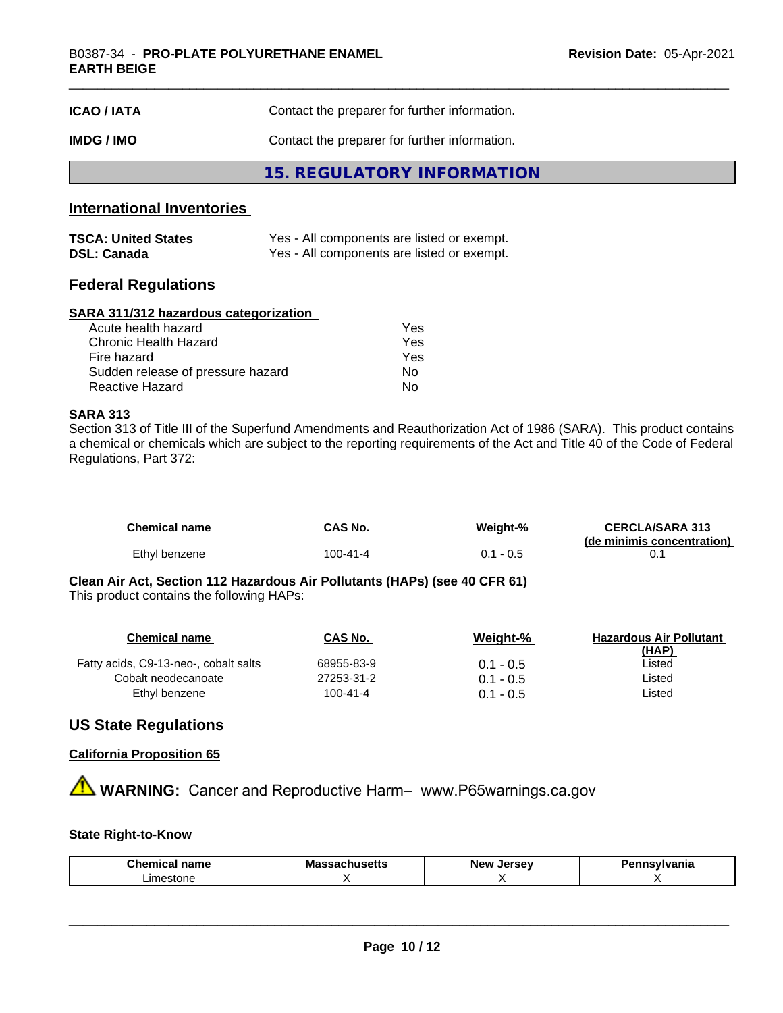| <b>ICAO/IATA</b> | Contact the preparer for further information. |  |
|------------------|-----------------------------------------------|--|
| IMDG / IMO       | Contact the preparer for further information. |  |
|                  | 15. REGULATORY INFORMATION                    |  |

#### **International Inventories**

| <b>TSCA: United States</b> | Yes - All components are listed or exempt. |
|----------------------------|--------------------------------------------|
| <b>DSL: Canada</b>         | Yes - All components are listed or exempt. |

#### **Federal Regulations**

#### **SARA 311/312 hazardous categorization**

| Acute health hazard               | Yes |
|-----------------------------------|-----|
| Chronic Health Hazard             | Yes |
| Fire hazard                       | Yes |
| Sudden release of pressure hazard | Nο  |
| Reactive Hazard                   | N٥  |

#### **SARA 313**

Section 313 of Title III of the Superfund Amendments and Reauthorization Act of 1986 (SARA). This product contains a chemical or chemicals which are subject to the reporting requirements of the Act and Title 40 of the Code of Federal Regulations, Part 372:

| Chemical name | CAS No.  | Weiaht-% | <b>CERCLA/SARA 313</b>     |
|---------------|----------|----------|----------------------------|
|               |          |          | (de minimis concentration) |
| Ethyl benzene | 100-41-4 | 0.5 - ،  |                            |

#### **Clean Air Act,Section 112 Hazardous Air Pollutants (HAPs) (see 40 CFR 61)** This product contains the following HAPs:

| Chemical name                         | CAS No.        | Weight-%    | <b>Hazardous Air Pollutant</b> |
|---------------------------------------|----------------|-------------|--------------------------------|
|                                       |                |             | (HAP)                          |
| Fatty acids, C9-13-neo-, cobalt salts | 68955-83-9     | $0.1 - 0.5$ | Listed                         |
| Cobalt neodecanoate                   | 27253-31-2     | $0.1 - 0.5$ | Listed                         |
| Ethyl benzene                         | $100 - 41 - 4$ | $0.1 - 0.5$ | Listed                         |

#### **US State Regulations**

#### **California Proposition 65**

**A WARNING:** Cancer and Reproductive Harm– www.P65warnings.ca.gov

#### **State Right-to-Know**

| Chemical<br>name | $\overline{\phantom{a}}$<br>Mas<br>---34611436113 | Jersev<br><b>New</b><br>œ | .<br>янк |
|------------------|---------------------------------------------------|---------------------------|----------|
| _imestone        |                                                   |                           |          |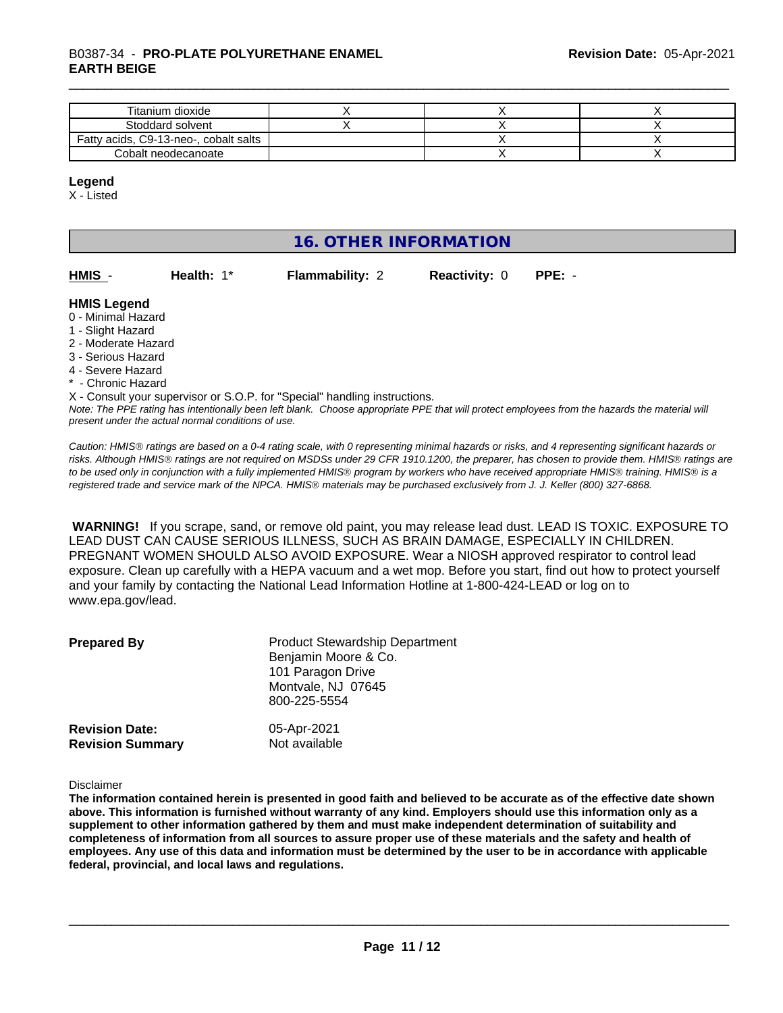## \_\_\_\_\_\_\_\_\_\_\_\_\_\_\_\_\_\_\_\_\_\_\_\_\_\_\_\_\_\_\_\_\_\_\_\_\_\_\_\_\_\_\_\_\_\_\_\_\_\_\_\_\_\_\_\_\_\_\_\_\_\_\_\_\_\_\_\_\_\_\_\_\_\_\_\_\_\_\_\_\_\_\_\_\_\_\_\_\_\_\_\_\_ B0387-34 - **PRO-PLATE POLYURETHANE ENAMEL EARTH BEIGE**

| Titanium dioxide                      |  |  |
|---------------------------------------|--|--|
| Stoddard solvent                      |  |  |
| Fatty acids, C9-13-neo-, cobalt salts |  |  |
| Cobalt neodecanoate                   |  |  |

#### **Legend**

X - Listed

## **16. OTHER INFORMATION**

| HMIS - | Health: $1^*$ | <b>Flammability: 2</b> |
|--------|---------------|------------------------|
|        |               |                        |

**HMIS** - **Health:** 1\* **Flammability:** 2 **Reactivity:** 0 **PPE:** -

#### **HMIS Legend**

- 0 Minimal Hazard
- 1 Slight Hazard
- 2 Moderate Hazard
- 3 Serious Hazard
- 4 Severe Hazard
- \* Chronic Hazard

*Note: The PPE rating has intentionally been left blank. Choose appropriate PPE that will protect employees from the hazards the material will present under the actual normal conditions of use.* X - Consult your supervisor or S.O.P. for "Special" handling instructions.

*Caution: HMISÒ ratings are based on a 0-4 rating scale, with 0 representing minimal hazards or risks, and 4 representing significant hazards or risks. Although HMISÒ ratings are not required on MSDSs under 29 CFR 1910.1200, the preparer, has chosen to provide them. HMISÒ ratings are to be used only in conjunction with a fully implemented HMISÒ program by workers who have received appropriate HMISÒ training. HMISÒ is a registered trade and service mark of the NPCA. HMISÒ materials may be purchased exclusively from J. J. Keller (800) 327-6868.*

 **WARNING!** If you scrape, sand, or remove old paint, you may release lead dust. LEAD IS TOXIC. EXPOSURE TO LEAD DUST CAN CAUSE SERIOUS ILLNESS, SUCH AS BRAIN DAMAGE, ESPECIALLY IN CHILDREN. PREGNANT WOMEN SHOULD ALSO AVOID EXPOSURE. Wear a NIOSH approved respirator to control lead exposure. Clean up carefully with a HEPA vacuum and a wet mop. Before you start, find out how to protect yourself and your family by contacting the National Lead Information Hotline at 1-800-424-LEAD or log on to www.epa.gov/lead.

| <b>Prepared By</b>      | <b>Product Stewardship Department</b><br>Benjamin Moore & Co.<br>101 Paragon Drive<br>Montvale, NJ 07645<br>800-225-5554 |
|-------------------------|--------------------------------------------------------------------------------------------------------------------------|
| <b>Revision Date:</b>   | 05-Apr-2021                                                                                                              |
| <b>Revision Summary</b> | Not available                                                                                                            |

Disclaimer

The information contained herein is presented in good faith and believed to be accurate as of the effective date shown above. This information is furnished without warranty of any kind. Employers should use this information only as a **supplement to other information gathered by them and must make independent determination of suitability and** completeness of information from all sources to assure proper use of these materials and the safety and health of employees. Any use of this data and information must be determined by the user to be in accordance with applicable **federal, provincial, and local laws and regulations.**